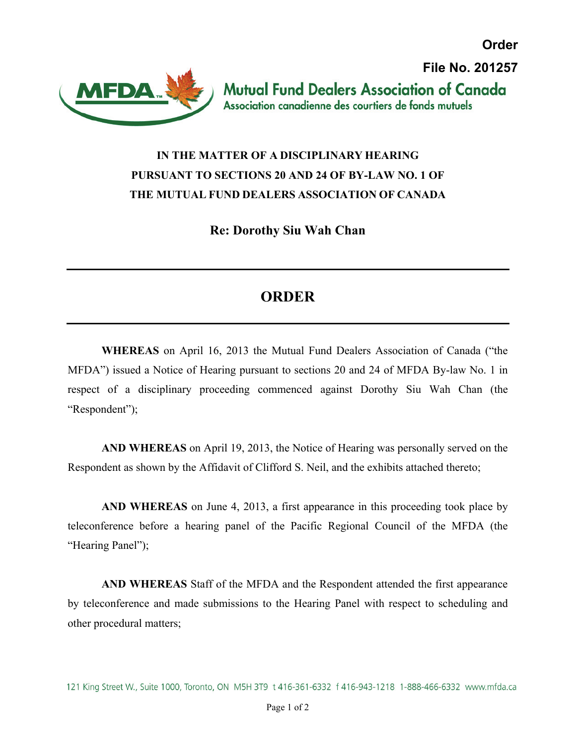**Order File No. 201257Mutual Fund Dealers Association of Canada** Association canadienne des courtiers de fonds mutuels

## **IN THE MATTER OF A DISCIPLINARY HEARING PURSUANT TO SECTIONS 20 AND 24 OF BY-LAW NO. 1 OF THE MUTUAL FUND DEALERS ASSOCIATION OF CANADA**

**AFDA** 

**Re: Dorothy Siu Wah Chan** 

## **ORDER**

**WHEREAS** on April 16, 2013 the Mutual Fund Dealers Association of Canada ("the MFDA") issued a Notice of Hearing pursuant to sections 20 and 24 of MFDA By-law No. 1 in respect of a disciplinary proceeding commenced against Dorothy Siu Wah Chan (the "Respondent");

**AND WHEREAS** on April 19, 2013, the Notice of Hearing was personally served on the Respondent as shown by the Affidavit of Clifford S. Neil, and the exhibits attached thereto;

**AND WHEREAS** on June 4, 2013, a first appearance in this proceeding took place by teleconference before a hearing panel of the Pacific Regional Council of the MFDA (the "Hearing Panel");

**AND WHEREAS** Staff of the MFDA and the Respondent attended the first appearance by teleconference and made submissions to the Hearing Panel with respect to scheduling and other procedural matters;